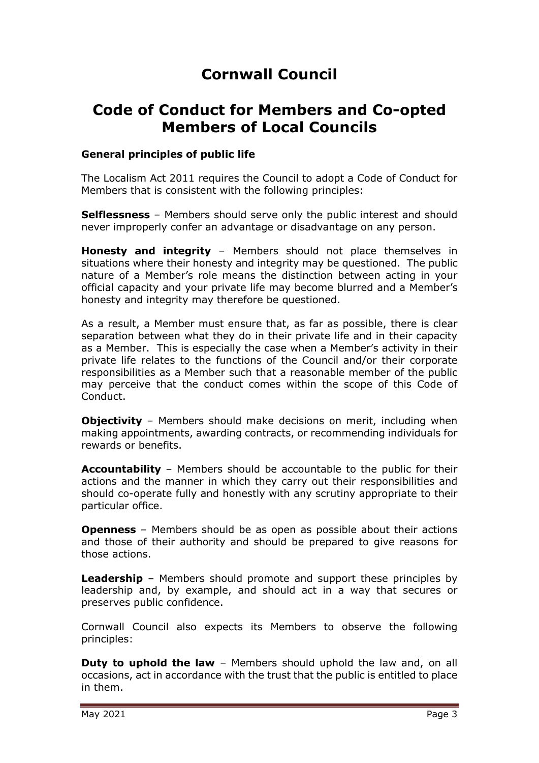# **Cornwall Council**

# **Code of Conduct for Members and Co-opted Members of Local Councils**

#### **General principles of public life**

The Localism Act 2011 requires the Council to adopt a Code of Conduct for Members that is consistent with the following principles:

**Selflessness** – Members should serve only the public interest and should never improperly confer an advantage or disadvantage on any person.

**Honesty and integrity** – Members should not place themselves in situations where their honesty and integrity may be questioned. The public nature of a Member's role means the distinction between acting in your official capacity and your private life may become blurred and a Member's honesty and integrity may therefore be questioned.

As a result, a Member must ensure that, as far as possible, there is clear separation between what they do in their private life and in their capacity as a Member. This is especially the case when a Member's activity in their private life relates to the functions of the Council and/or their corporate responsibilities as a Member such that a reasonable member of the public may perceive that the conduct comes within the scope of this Code of Conduct.

**Objectivity** - Members should make decisions on merit, including when making appointments, awarding contracts, or recommending individuals for rewards or benefits.

**Accountability** – Members should be accountable to the public for their actions and the manner in which they carry out their responsibilities and should co-operate fully and honestly with any scrutiny appropriate to their particular office.

**Openness** – Members should be as open as possible about their actions and those of their authority and should be prepared to give reasons for those actions.

**Leadership** – Members should promote and support these principles by leadership and, by example, and should act in a way that secures or preserves public confidence.

Cornwall Council also expects its Members to observe the following principles:

**Duty to uphold the law** – Members should uphold the law and, on all occasions, act in accordance with the trust that the public is entitled to place in them.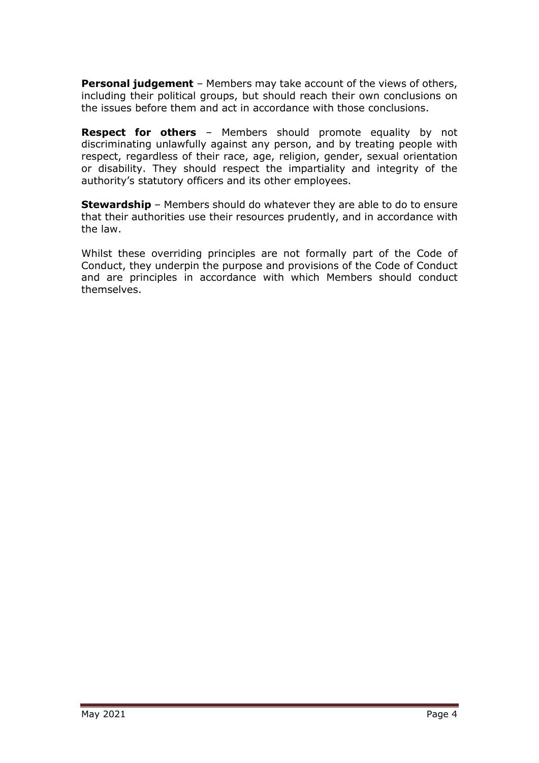**Personal judgement** – Members may take account of the views of others, including their political groups, but should reach their own conclusions on the issues before them and act in accordance with those conclusions.

**Respect for others** – Members should promote equality by not discriminating unlawfully against any person, and by treating people with respect, regardless of their race, age, religion, gender, sexual orientation or disability. They should respect the impartiality and integrity of the authority's statutory officers and its other employees.

**Stewardship** – Members should do whatever they are able to do to ensure that their authorities use their resources prudently, and in accordance with the law.

Whilst these overriding principles are not formally part of the Code of Conduct, they underpin the purpose and provisions of the Code of Conduct and are principles in accordance with which Members should conduct themselves.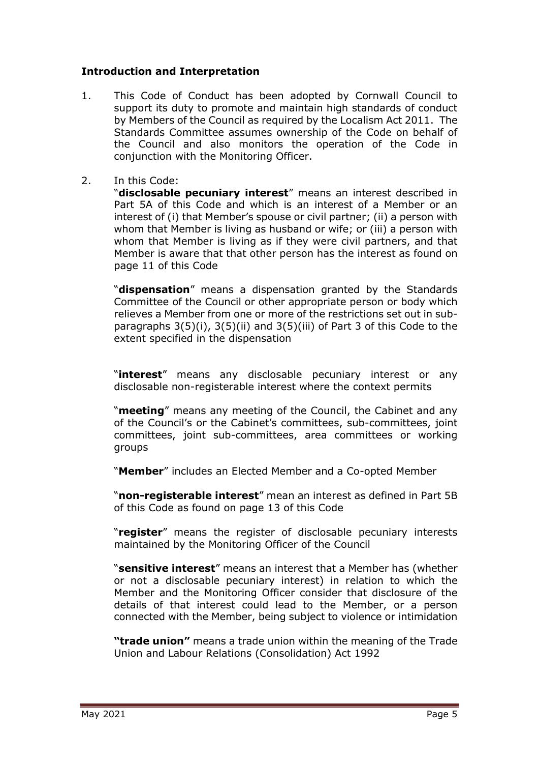## **Introduction and Interpretation**

- 1. This Code of Conduct has been adopted by Cornwall Council to support its duty to promote and maintain high standards of conduct by Members of the Council as required by the Localism Act 2011. The Standards Committee assumes ownership of the Code on behalf of the Council and also monitors the operation of the Code in conjunction with the Monitoring Officer.
- 2. In this Code:

"**disclosable pecuniary interest**" means an interest described in Part 5A of this Code and which is an interest of a Member or an interest of (i) that Member's spouse or civil partner; (ii) a person with whom that Member is living as husband or wife; or (iii) a person with whom that Member is living as if they were civil partners, and that Member is aware that that other person has the interest as found on page 11 of this Code

"**dispensation**" means a dispensation granted by the Standards Committee of the Council or other appropriate person or body which relieves a Member from one or more of the restrictions set out in subparagraphs 3(5)(i), 3(5)(ii) and 3(5)(iii) of Part 3 of this Code to the extent specified in the dispensation

"**interest**" means any disclosable pecuniary interest or any disclosable non-registerable interest where the context permits

"**meeting**" means any meeting of the Council, the Cabinet and any of the Council's or the Cabinet's committees, sub-committees, joint committees, joint sub-committees, area committees or working groups

"**Member**" includes an Elected Member and a Co-opted Member

"**non-registerable interest**" mean an interest as defined in Part 5B of this Code as found on page 13 of this Code

"**register**" means the register of disclosable pecuniary interests maintained by the Monitoring Officer of the Council

"**sensitive interest**" means an interest that a Member has (whether or not a disclosable pecuniary interest) in relation to which the Member and the Monitoring Officer consider that disclosure of the details of that interest could lead to the Member, or a person connected with the Member, being subject to violence or intimidation

**"trade union"** means a trade union within the meaning of the Trade Union and Labour Relations (Consolidation) Act 1992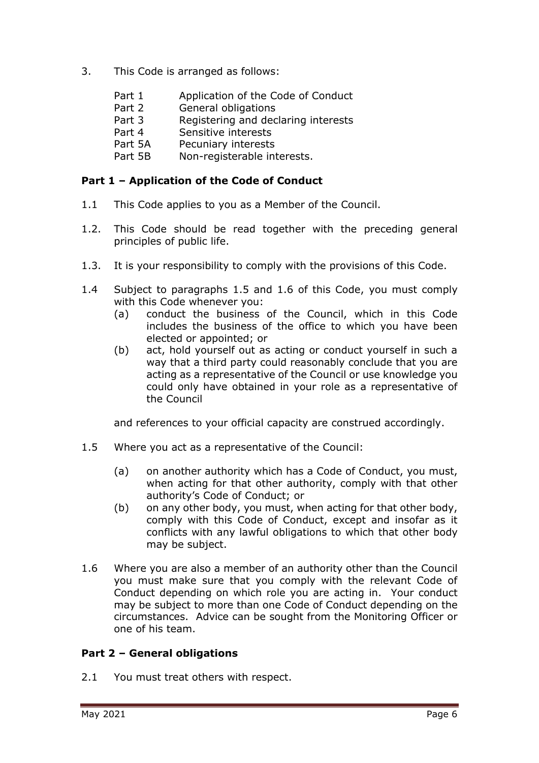- 3. This Code is arranged as follows:
	- Part 1 Application of the Code of Conduct
	- Part 2 General obligations
	- Part 3 Registering and declaring interests
	- Part 4 Sensitive interests
	- Part 5A Pecuniary interests
	- Part 5B Non-registerable interests.

### **Part 1 – Application of the Code of Conduct**

- 1.1 This Code applies to you as a Member of the Council.
- 1.2. This Code should be read together with the preceding general principles of public life.
- 1.3. It is your responsibility to comply with the provisions of this Code.
- 1.4 Subject to paragraphs 1.5 and 1.6 of this Code, you must comply with this Code whenever you:
	- (a) conduct the business of the Council, which in this Code includes the business of the office to which you have been elected or appointed; or
	- (b) act, hold yourself out as acting or conduct yourself in such a way that a third party could reasonably conclude that you are acting as a representative of the Council or use knowledge you could only have obtained in your role as a representative of the Council

and references to your official capacity are construed accordingly.

- 1.5 Where you act as a representative of the Council:
	- (a) on another authority which has a Code of Conduct, you must, when acting for that other authority, comply with that other authority's Code of Conduct; or
	- (b) on any other body, you must, when acting for that other body, comply with this Code of Conduct, except and insofar as it conflicts with any lawful obligations to which that other body may be subject.
- 1.6 Where you are also a member of an authority other than the Council you must make sure that you comply with the relevant Code of Conduct depending on which role you are acting in. Your conduct may be subject to more than one Code of Conduct depending on the circumstances. Advice can be sought from the Monitoring Officer or one of his team.

## **Part 2 – General obligations**

2.1 You must treat others with respect.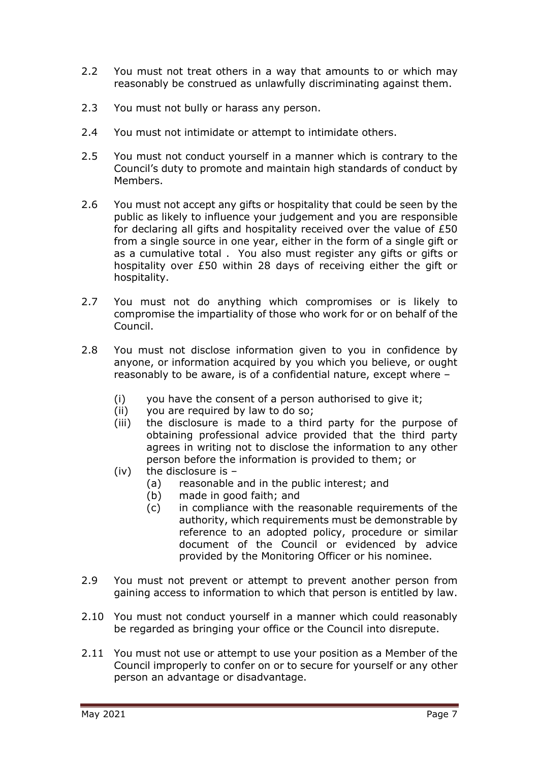- 2.2 You must not treat others in a way that amounts to or which may reasonably be construed as unlawfully discriminating against them.
- 2.3 You must not bully or harass any person.
- 2.4 You must not intimidate or attempt to intimidate others.
- 2.5 You must not conduct yourself in a manner which is contrary to the Council's duty to promote and maintain high standards of conduct by Members.
- 2.6 You must not accept any gifts or hospitality that could be seen by the public as likely to influence your judgement and you are responsible for declaring all gifts and hospitality received over the value of £50 from a single source in one year, either in the form of a single gift or as a cumulative total . You also must register any gifts or gifts or hospitality over £50 within 28 days of receiving either the gift or hospitality.
- 2.7 You must not do anything which compromises or is likely to compromise the impartiality of those who work for or on behalf of the Council.
- 2.8 You must not disclose information given to you in confidence by anyone, or information acquired by you which you believe, or ought reasonably to be aware, is of a confidential nature, except where –
	- (i) you have the consent of a person authorised to give it;
	- (ii) you are required by law to do so;
	- (iii) the disclosure is made to a third party for the purpose of obtaining professional advice provided that the third party agrees in writing not to disclose the information to any other person before the information is provided to them; or
	- (iv) the disclosure is
		- (a) reasonable and in the public interest; and
		- (b) made in good faith; and
		- (c) in compliance with the reasonable requirements of the authority, which requirements must be demonstrable by reference to an adopted policy, procedure or similar document of the Council or evidenced by advice provided by the Monitoring Officer or his nominee.
- 2.9 You must not prevent or attempt to prevent another person from gaining access to information to which that person is entitled by law.
- 2.10 You must not conduct yourself in a manner which could reasonably be regarded as bringing your office or the Council into disrepute.
- 2.11 You must not use or attempt to use your position as a Member of the Council improperly to confer on or to secure for yourself or any other person an advantage or disadvantage.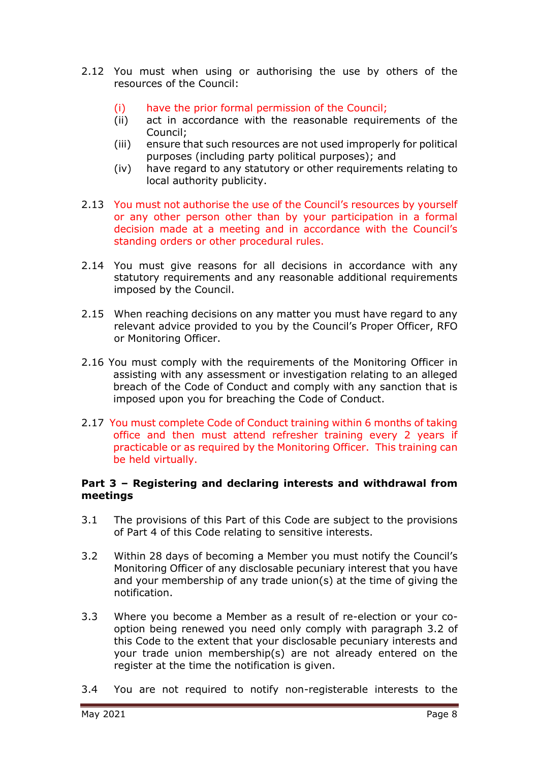- 2.12 You must when using or authorising the use by others of the resources of the Council:
	- (i) have the prior formal permission of the Council;
	- (ii) act in accordance with the reasonable requirements of the Council;
	- (iii) ensure that such resources are not used improperly for political purposes (including party political purposes); and
	- (iv) have regard to any statutory or other requirements relating to local authority publicity.
- 2.13 You must not authorise the use of the Council's resources by yourself or any other person other than by your participation in a formal decision made at a meeting and in accordance with the Council's standing orders or other procedural rules.
- 2.14 You must give reasons for all decisions in accordance with any statutory requirements and any reasonable additional requirements imposed by the Council.
- 2.15 When reaching decisions on any matter you must have regard to any relevant advice provided to you by the Council's Proper Officer, RFO or Monitoring Officer.
- 2.16 You must comply with the requirements of the Monitoring Officer in assisting with any assessment or investigation relating to an alleged breach of the Code of Conduct and comply with any sanction that is imposed upon you for breaching the Code of Conduct.
- 2.17 You must complete Code of Conduct training within 6 months of taking office and then must attend refresher training every 2 years if practicable or as required by the Monitoring Officer. This training can be held virtually.

#### **Part 3 – Registering and declaring interests and withdrawal from meetings**

- 3.1 The provisions of this Part of this Code are subject to the provisions of Part 4 of this Code relating to sensitive interests.
- 3.2 Within 28 days of becoming a Member you must notify the Council's Monitoring Officer of any disclosable pecuniary interest that you have and your membership of any trade union(s) at the time of giving the notification.
- 3.3 Where you become a Member as a result of re-election or your cooption being renewed you need only comply with paragraph 3.2 of this Code to the extent that your disclosable pecuniary interests and your trade union membership(s) are not already entered on the register at the time the notification is given.
- 3.4 You are not required to notify non-registerable interests to the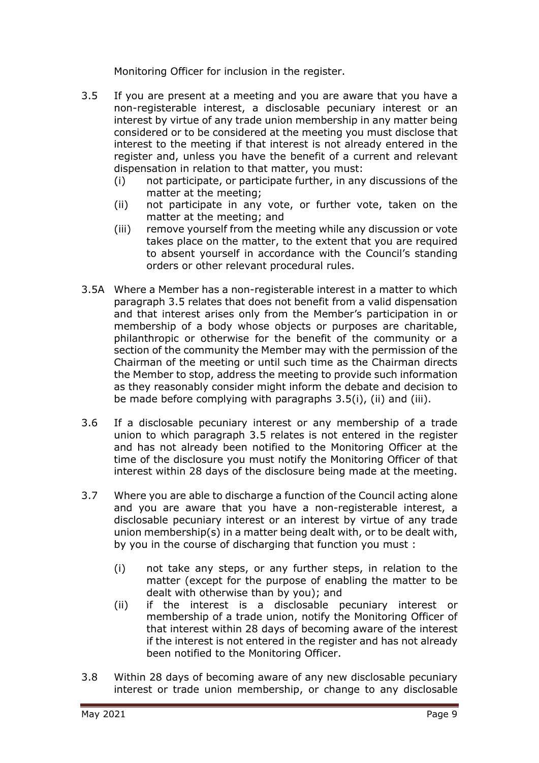Monitoring Officer for inclusion in the register.

- 3.5 If you are present at a meeting and you are aware that you have a non-registerable interest, a disclosable pecuniary interest or an interest by virtue of any trade union membership in any matter being considered or to be considered at the meeting you must disclose that interest to the meeting if that interest is not already entered in the register and, unless you have the benefit of a current and relevant dispensation in relation to that matter, you must:
	- (i) not participate, or participate further, in any discussions of the matter at the meeting;
	- (ii) not participate in any vote, or further vote, taken on the matter at the meeting; and
	- (iii) remove yourself from the meeting while any discussion or vote takes place on the matter, to the extent that you are required to absent yourself in accordance with the Council's standing orders or other relevant procedural rules.
- 3.5A Where a Member has a non-registerable interest in a matter to which paragraph 3.5 relates that does not benefit from a valid dispensation and that interest arises only from the Member's participation in or membership of a body whose objects or purposes are charitable, philanthropic or otherwise for the benefit of the community or a section of the community the Member may with the permission of the Chairman of the meeting or until such time as the Chairman directs the Member to stop, address the meeting to provide such information as they reasonably consider might inform the debate and decision to be made before complying with paragraphs 3.5(i), (ii) and (iii).
- 3.6 If a disclosable pecuniary interest or any membership of a trade union to which paragraph 3.5 relates is not entered in the register and has not already been notified to the Monitoring Officer at the time of the disclosure you must notify the Monitoring Officer of that interest within 28 days of the disclosure being made at the meeting.
- 3.7 Where you are able to discharge a function of the Council acting alone and you are aware that you have a non-registerable interest, a disclosable pecuniary interest or an interest by virtue of any trade union membership(s) in a matter being dealt with, or to be dealt with, by you in the course of discharging that function you must :
	- (i) not take any steps, or any further steps, in relation to the matter (except for the purpose of enabling the matter to be dealt with otherwise than by you); and
	- (ii) if the interest is a disclosable pecuniary interest or membership of a trade union, notify the Monitoring Officer of that interest within 28 days of becoming aware of the interest if the interest is not entered in the register and has not already been notified to the Monitoring Officer.
- 3.8 Within 28 days of becoming aware of any new disclosable pecuniary interest or trade union membership, or change to any disclosable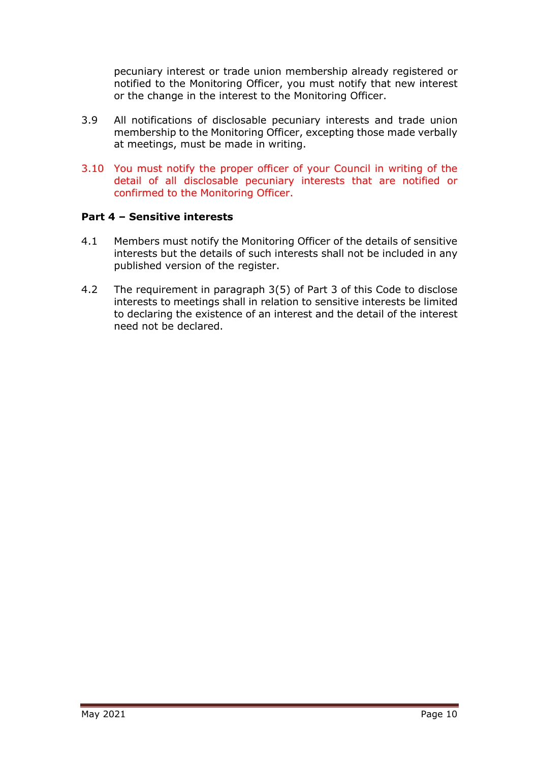pecuniary interest or trade union membership already registered or notified to the Monitoring Officer, you must notify that new interest or the change in the interest to the Monitoring Officer.

- 3.9 All notifications of disclosable pecuniary interests and trade union membership to the Monitoring Officer, excepting those made verbally at meetings, must be made in writing.
- 3.10 You must notify the proper officer of your Council in writing of the detail of all disclosable pecuniary interests that are notified or confirmed to the Monitoring Officer.

#### **Part 4 – Sensitive interests**

- 4.1 Members must notify the Monitoring Officer of the details of sensitive interests but the details of such interests shall not be included in any published version of the register.
- 4.2 The requirement in paragraph 3(5) of Part 3 of this Code to disclose interests to meetings shall in relation to sensitive interests be limited to declaring the existence of an interest and the detail of the interest need not be declared.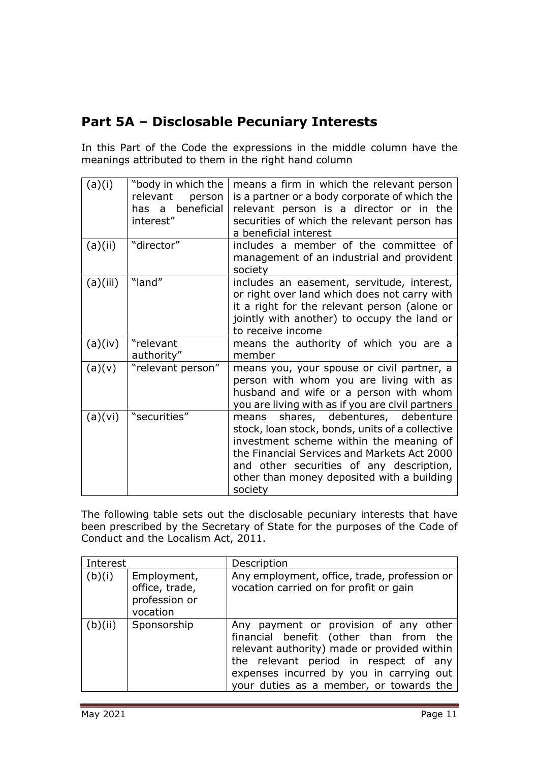# **Part 5A – Disclosable Pecuniary Interests**

In this Part of the Code the expressions in the middle column have the meanings attributed to them in the right hand column

| (a)(i)   | "body in which the<br>relevant<br>person<br>has a beneficial<br>interest" | means a firm in which the relevant person<br>is a partner or a body corporate of which the<br>relevant person is a director or in the<br>securities of which the relevant person has<br>a beneficial interest                                                                            |
|----------|---------------------------------------------------------------------------|------------------------------------------------------------------------------------------------------------------------------------------------------------------------------------------------------------------------------------------------------------------------------------------|
| (a)(ii)  | "director"                                                                | includes a member of the committee of<br>management of an industrial and provident<br>society                                                                                                                                                                                            |
| (a)(iii) | "land"                                                                    | includes an easement, servitude, interest,<br>or right over land which does not carry with<br>it a right for the relevant person (alone or<br>jointly with another) to occupy the land or<br>to receive income                                                                           |
| (a)(iv)  | "relevant<br>authority"                                                   | means the authority of which you are a<br>member                                                                                                                                                                                                                                         |
| (a)(v)   | "relevant person"                                                         | means you, your spouse or civil partner, a<br>person with whom you are living with as<br>husband and wife or a person with whom<br>you are living with as if you are civil partners                                                                                                      |
| (a)(vi)  | "securities"                                                              | shares, debentures, debenture<br>means<br>stock, loan stock, bonds, units of a collective<br>investment scheme within the meaning of<br>the Financial Services and Markets Act 2000<br>and other securities of any description,<br>other than money deposited with a building<br>society |

The following table sets out the disclosable pecuniary interests that have been prescribed by the Secretary of State for the purposes of the Code of Conduct and the Localism Act, 2011.

| Interest |                                                            | Description                                                                                                                                                                                                                                                    |
|----------|------------------------------------------------------------|----------------------------------------------------------------------------------------------------------------------------------------------------------------------------------------------------------------------------------------------------------------|
| (b)(i)   | Employment,<br>office, trade,<br>profession or<br>vocation | Any employment, office, trade, profession or<br>vocation carried on for profit or gain                                                                                                                                                                         |
| (b)(ii)  | Sponsorship                                                | Any payment or provision of any other<br>financial benefit (other than from the<br>relevant authority) made or provided within<br>the relevant period in respect of any<br>expenses incurred by you in carrying out<br>your duties as a member, or towards the |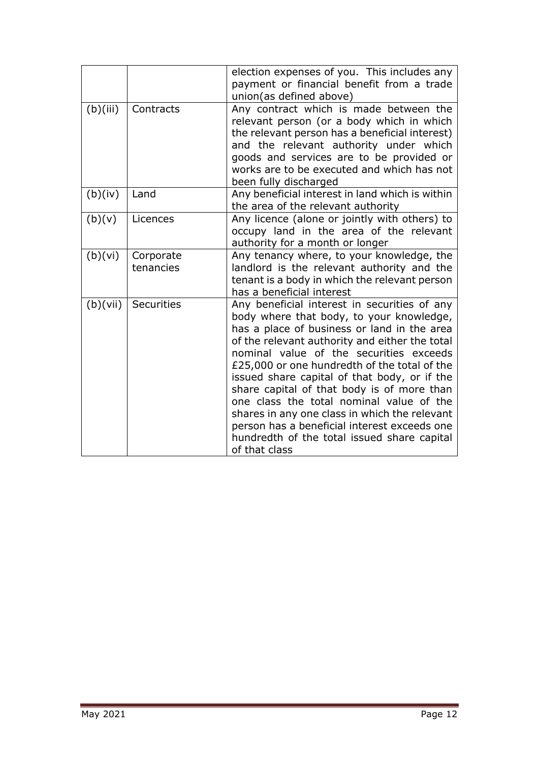|          |                        | election expenses of you. This includes any<br>payment or financial benefit from a trade<br>union(as defined above)                                                                                                                                                                                                                                                                                                                                                                                                                                                                             |
|----------|------------------------|-------------------------------------------------------------------------------------------------------------------------------------------------------------------------------------------------------------------------------------------------------------------------------------------------------------------------------------------------------------------------------------------------------------------------------------------------------------------------------------------------------------------------------------------------------------------------------------------------|
| (b)(iii) | Contracts              | Any contract which is made between the<br>relevant person (or a body which in which<br>the relevant person has a beneficial interest)<br>and the relevant authority under which<br>goods and services are to be provided or<br>works are to be executed and which has not<br>been fully discharged                                                                                                                                                                                                                                                                                              |
| (b)(iv)  | Land                   | Any beneficial interest in land which is within<br>the area of the relevant authority                                                                                                                                                                                                                                                                                                                                                                                                                                                                                                           |
| (b)(v)   | Licences               | Any licence (alone or jointly with others) to<br>occupy land in the area of the relevant<br>authority for a month or longer                                                                                                                                                                                                                                                                                                                                                                                                                                                                     |
| (b)(vi)  | Corporate<br>tenancies | Any tenancy where, to your knowledge, the<br>landlord is the relevant authority and the<br>tenant is a body in which the relevant person<br>has a beneficial interest                                                                                                                                                                                                                                                                                                                                                                                                                           |
| (b)(vii) | Securities             | Any beneficial interest in securities of any<br>body where that body, to your knowledge,<br>has a place of business or land in the area<br>of the relevant authority and either the total<br>nominal value of the securities exceeds<br>£25,000 or one hundredth of the total of the<br>issued share capital of that body, or if the<br>share capital of that body is of more than<br>one class the total nominal value of the<br>shares in any one class in which the relevant<br>person has a beneficial interest exceeds one<br>hundredth of the total issued share capital<br>of that class |